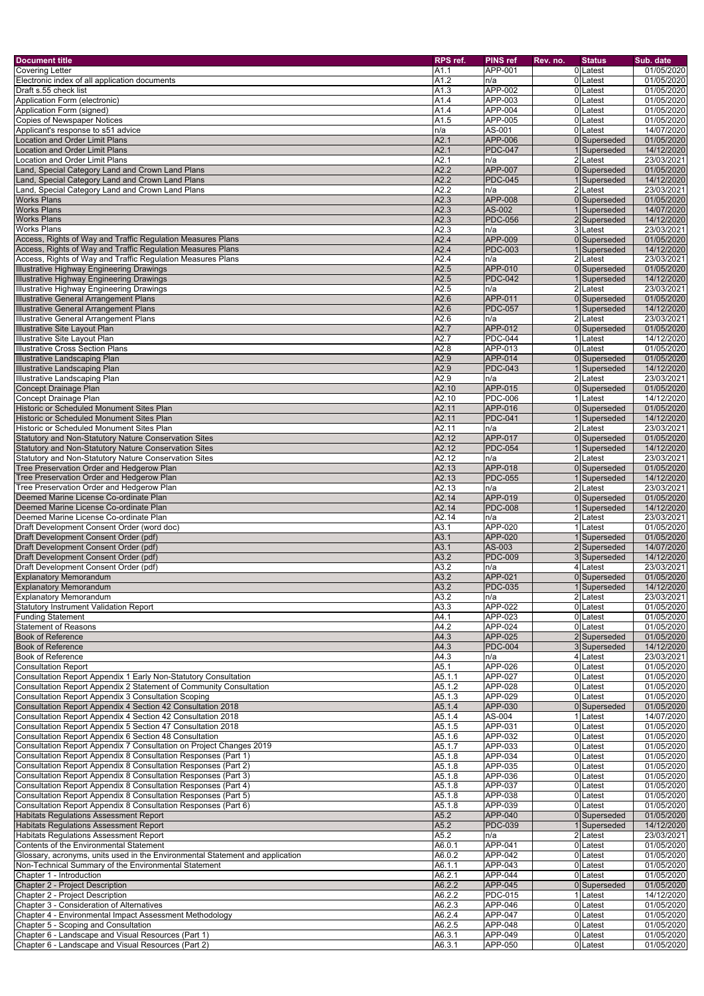| <b>Document title</b>                                                                         | RPS ref.         | <b>PINS ref</b>       | Rev. no. | <b>Status</b>                | Sub. date                |
|-----------------------------------------------------------------------------------------------|------------------|-----------------------|----------|------------------------------|--------------------------|
| <b>Covering Letter</b>                                                                        | A1.1             | <b>APP-001</b>        |          | 0Latest                      | 01/05/2020               |
| Electronic index of all application documents                                                 | A1.2             | n/a                   |          | 0 Latest                     | 01/05/2020               |
| Draft s.55 check list                                                                         | A1.3             | <b>APP-002</b>        |          | 0 Latest                     | 01/05/2020               |
| Application Form (electronic)                                                                 | A1.4             | <b>APP-003</b>        |          | 0Latest                      | 01/05/2020               |
| Application Form (signed)                                                                     | A1.4             | <b>APP-004</b>        |          | 0Latest                      | 01/05/2020               |
| <b>Copies of Newspaper Notices</b>                                                            | A1.5             | <b>APP-005</b>        |          | 0Latest                      | 01/05/2020               |
| Applicant's response to s51 advice                                                            | In/a             | AS-001                |          | 0 Latest                     | 14/07/2020               |
| <b>Location and Order Limit Plans</b>                                                         | A2.1             | APP-006               |          | 0 Superseded                 | 01/05/2020               |
| <b>Location and Order Limit Plans</b>                                                         | A2.1             | <b>PDC-047</b>        |          | Superseded                   | 14/12/2020               |
| <b>Location and Order Limit Plans</b>                                                         | A2.1             | n/a                   |          | 2Latest                      | 23/03/2021               |
| Land, Special Category Land and Crown Land Plans                                              | A2.2             | <b>APP-007</b>        |          | 0 Superseded                 | 01/05/2020               |
| Land, Special Category Land and Crown Land Plans                                              | A2.2             | <b>PDC-045</b>        |          | Superseded                   | 14/12/2020               |
| Land, Special Category Land and Crown Land Plans                                              | A2.2             | n/a                   |          | 2 Latest                     | 23/03/2021               |
| <b>Works Plans</b>                                                                            | A2.3             | <b>APP-008</b>        |          | 0 Superseded                 | 01/05/2020               |
| <b>Works Plans</b>                                                                            | A2.3             | AS-002                |          | Superseded                   | 14/07/2020               |
| <b>Works Plans</b>                                                                            | A2.3             | <b>PDC-056</b>        |          | 2 Superseded                 | 14/12/2020               |
| <b>Works Plans</b>                                                                            | A2.3             | n/a                   |          | 3 Latest                     | 23/03/2021               |
| Access, Rights of Way and Traffic Regulation Measures Plans                                   | A2.4             | <b>APP-009</b>        |          | 0 Superseded                 | 01/05/2020               |
| Access, Rights of Way and Traffic Regulation Measures Plans                                   | A2.4<br>A2.4     | <b>PDC-003</b>        |          | Superseded<br>2 Latest       | 14/12/2020<br>23/03/2021 |
| Access, Rights of Way and Traffic Regulation Measures Plans                                   | A2.5             | n/a<br><b>APP-010</b> |          | 0 Superseded                 | 01/05/2020               |
| Illustrative Highway Engineering Drawings<br><b>Illustrative Highway Engineering Drawings</b> | A2.5             | <b>PDC-042</b>        |          | Superseded                   | 14/12/2020               |
| <b>Illustrative Highway Engineering Drawings</b>                                              | A2.5             | n/a                   |          | 2Latest                      | 23/03/2021               |
| Illustrative General Arrangement Plans                                                        | A2.6             | <b>APP-011</b>        |          | 0 Superseded                 | 01/05/2020               |
| <b>Illustrative General Arrangement Plans</b>                                                 | A2.6             | <b>PDC-057</b>        |          | Superseded                   | 14/12/2020               |
| Illustrative General Arrangement Plans                                                        | A2.6             | n/a                   |          | 2Latest                      | 23/03/2021               |
| <b>Illustrative Site Layout Plan</b>                                                          | A2.7             | <b>APP-012</b>        |          | 0 Superseded                 | 01/05/2020               |
| <b>Illustrative Site Layout Plan</b>                                                          | A2.7             | <b>PDC-044</b>        |          | Latest                       | 14/12/2020               |
| <b>Illustrative Cross Section Plans</b>                                                       | A2.8             | <b>APP-013</b>        |          | 0Latest                      | 01/05/2020               |
| <b>Illustrative Landscaping Plan</b>                                                          | A2.9             | <b>APP-014</b>        |          | 0 Superseded                 | 01/05/2020               |
| <b>Illustrative Landscaping Plan</b>                                                          | A2.9             | <b>PDC-043</b>        |          | Superseded                   | 14/12/2020               |
| <b>Illustrative Landscaping Plan</b>                                                          | A2.9             | n/a                   |          | 2Latest                      | 23/03/2021               |
| Concept Drainage Plan                                                                         | A2.10            | <b>APP-015</b>        |          | 0 Superseded                 | 01/05/2020               |
| <b>Concept Drainage Plan</b>                                                                  | A2.10            | <b>PDC-006</b>        |          | 1Latest                      | 14/12/2020               |
| Historic or Scheduled Monument Sites Plan                                                     | A2.11            | APP-016               |          | 0 Superseded                 | 01/05/2020               |
| Historic or Scheduled Monument Sites Plan                                                     | A2.11            | <b>PDC-041</b>        |          | 1 Superseded                 | 14/12/2020               |
| Historic or Scheduled Monument Sites Plan                                                     | A2.11            | n/a                   |          | 2 Latest                     | 23/03/2021               |
| Statutory and Non-Statutory Nature Conservation Sites                                         | A2.12            | APP-017               |          | 0 Superseded                 | 01/05/2020               |
| Statutory and Non-Statutory Nature Conservation Sites                                         | A2.12            | <b>PDC-054</b>        |          | 1Superseded                  | 14/12/2020               |
| <b>Statutory and Non-Statutory Nature Conservation Sites</b>                                  | A2.12            | n/a                   |          | 2 Latest                     | 23/03/2021               |
| Tree Preservation Order and Hedgerow Plan                                                     | A2.13            | <b>APP-018</b>        |          | 0 Superseded                 | 01/05/2020               |
| Tree Preservation Order and Hedgerow Plan                                                     | A2.13            | <b>PDC-055</b>        |          | Superseded                   | 14/12/2020               |
| Tree Preservation Order and Hedgerow Plan                                                     | A2.13            | n/a                   |          | 2 Latest                     | 23/03/2021               |
| Deemed Marine License Co-ordinate Plan                                                        | A2.14            | <b>APP-019</b>        |          | 0 Superseded                 | 01/05/2020               |
| Deemed Marine License Co-ordinate Plan                                                        | A2.14            | <b>PDC-008</b>        |          | Superseded                   | 14/12/2020               |
| Deemed Marine License Co-ordinate Plan                                                        | A2.14            | n/a                   |          | $\overline{2}$ Latest        | 23/03/2021               |
| Draft Development Consent Order (word doc)                                                    | A3.1             | APP-020               |          | 1Latest                      | 01/05/2020               |
| Draft Development Consent Order (pdf)                                                         | A <sub>3.1</sub> | <b>APP-020</b>        |          | Superseded                   | 01/05/2020               |
| Draft Development Consent Order (pdf)                                                         | A3.1             | AS-003                |          | 2 Superseded                 | 14/07/2020               |
| Draft Development Consent Order (pdf)                                                         | A3.2             | <b>PDC-009</b>        |          | 3 Superseded                 | 14/12/2020               |
| Draft Development Consent Order (pdf)                                                         | A3.2             | n/a                   |          | 4 Latest                     | 23/03/2021               |
| <b>Explanatory Memorandum</b>                                                                 | A3.2             | <b>APP-021</b>        |          | 0 Superseded                 | 01/05/2020               |
| <b>Explanatory Memorandum</b>                                                                 | A3.2             | <b>PDC-035</b>        |          | Superseded                   | 14/12/2020               |
| <b>Explanatory Memorandum</b>                                                                 | A3.2             | n/a                   |          | 2Latest                      | 23/03/2021               |
| <b>Statutory Instrument Validation Report</b>                                                 | A3.3             | <b>APP-022</b>        |          | 0Latest                      | 01/05/2020               |
| <b>Funding Statement</b>                                                                      | A4.1             | APP-023<br>APP-024    |          | 0Latest                      | 01/05/2020               |
| <b>Statement of Reasons</b>                                                                   | A4.2             | APP-025               |          | 0 Latest                     | 01/05/2020               |
| <b>Book of Reference</b><br><b>Book of Reference</b>                                          | A4.3<br>A4.3     | <b>PDC-004</b>        |          | 2 Superseded<br>3 Superseded | 01/05/2020<br>14/12/2020 |
| <b>Book of Reference</b>                                                                      | A4.3             |                       |          | 4 Latest                     | 23/03/2021               |
| <b>Consultation Report</b>                                                                    | A5.1             | n/a<br><b>APP-026</b> |          | 0 Latest                     | 01/05/2020               |
| Consultation Report Appendix 1 Early Non-Statutory Consultation                               | A5.1.1           | <b>APP-027</b>        |          | 0 Latest                     | 01/05/2020               |
| Consultation Report Appendix 2 Statement of Community Consultation                            | A5.1.2           | APP-028               |          | 0Latest                      | 01/05/2020               |
| Consultation Report Appendix 3 Consultation Scoping                                           | A5.1.3           | APP-029               |          | 0 Latest                     | 01/05/2020               |
| Consultation Report Appendix 4 Section 42 Consultation 2018                                   | A5.1.4           | APP-030               |          | 0 Superseded                 | 01/05/2020               |
| Consultation Report Appendix 4 Section 42 Consultation 2018                                   | A5.1.4           | AS-004                |          | 1Latest                      | 14/07/2020               |
| Consultation Report Appendix 5 Section 47 Consultation 2018                                   | A5.1.5           | APP-031               |          | 0 Latest                     | 01/05/2020               |
| Consultation Report Appendix 6 Section 48 Consultation                                        | A5.1.6           | <b>APP-032</b>        |          | 0 Latest                     | 01/05/2020               |
| Consultation Report Appendix 7 Consultation on Project Changes 2019                           | A5.1.7           | APP-033               |          | 0 Latest                     | 01/05/2020               |
| Consultation Report Appendix 8 Consultation Responses (Part 1)                                | A5.1.8           | <b>APP-034</b>        |          | 0 Latest                     | 01/05/2020               |
| Consultation Report Appendix 8 Consultation Responses (Part 2)                                | A5.1.8           | APP-035               |          | 0 Latest                     | 01/05/2020               |
| Consultation Report Appendix 8 Consultation Responses (Part 3)                                | A5.1.8           | APP-036               |          | 0 Latest                     | 01/05/2020               |
| Consultation Report Appendix 8 Consultation Responses (Part 4)                                | A5.1.8           | APP-037               |          | 0 Latest                     | 01/05/2020               |
| Consultation Report Appendix 8 Consultation Responses (Part 5)                                | A5.1.8           | APP-038               |          | 0 Latest                     | $\overline{01}/05/2020$  |
| Consultation Report Appendix 8 Consultation Responses (Part 6)                                | A5.1.8           | APP-039               |          | 0 Latest                     | 01/05/2020               |
| Habitats Regulations Assessment Report                                                        | A5.2             | <b>APP-040</b>        |          | 0 Superseded                 | 01/05/2020               |
| Habitats Regulations Assessment Report                                                        | A5.2             | <b>PDC-039</b>        |          | Superseded                   | 14/12/2020               |
| <b>Habitats Regulations Assessment Report</b>                                                 | A5.2             | n/a                   |          | $\overline{2}$ Latest        | 23/03/2021               |
| Contents of the Environmental Statement                                                       | A6.0.1           | APP-041               |          | 0 Latest                     | 01/05/2020               |
| Glossary, acronyms, units used in the Environmental Statement and application                 | A6.0.2           | APP-042               |          | 0 Latest                     | 01/05/2020               |
| Non-Technical Summary of the Environmental Statement                                          | A6.1.1           | APP-043               |          | 0 Latest                     | 01/05/2020               |
| Chapter 1 - Introduction                                                                      | A6.2.1           | <b>APP-044</b>        |          | 0 Latest                     | 01/05/2020               |
| Chapter 2 - Project Description                                                               | A6.2.2           | APP-045               |          | 0 Superseded                 | 01/05/2020               |
| Chapter 2 - Project Description                                                               | A6.2.2           | <b>PDC-015</b>        |          | 1Latest                      | 14/12/2020               |
| Chapter 3 - Consideration of Alternatives                                                     | A6.2.3           | APP-046               |          | 0 Latest                     | 01/05/2020               |
| Chapter 4 - Environmental Impact Assessment Methodology                                       | A6.2.4           | APP-047               |          | 0 Latest                     | 01/05/2020               |
| Chapter 5 - Scoping and Consultation<br>Chapter 6 - Landscape and Visual Resources (Part 1)   | A6.2.5           | APP-048               |          | 0 Latest                     | 01/05/2020               |
| Chapter 6 - Landscape and Visual Resources (Part 2)                                           | A6.3.1<br>A6.3.1 | APP-049<br>APP-050    |          | 0 Latest<br>0 Latest         | 01/05/2020<br>01/05/2020 |
|                                                                                               |                  |                       |          |                              |                          |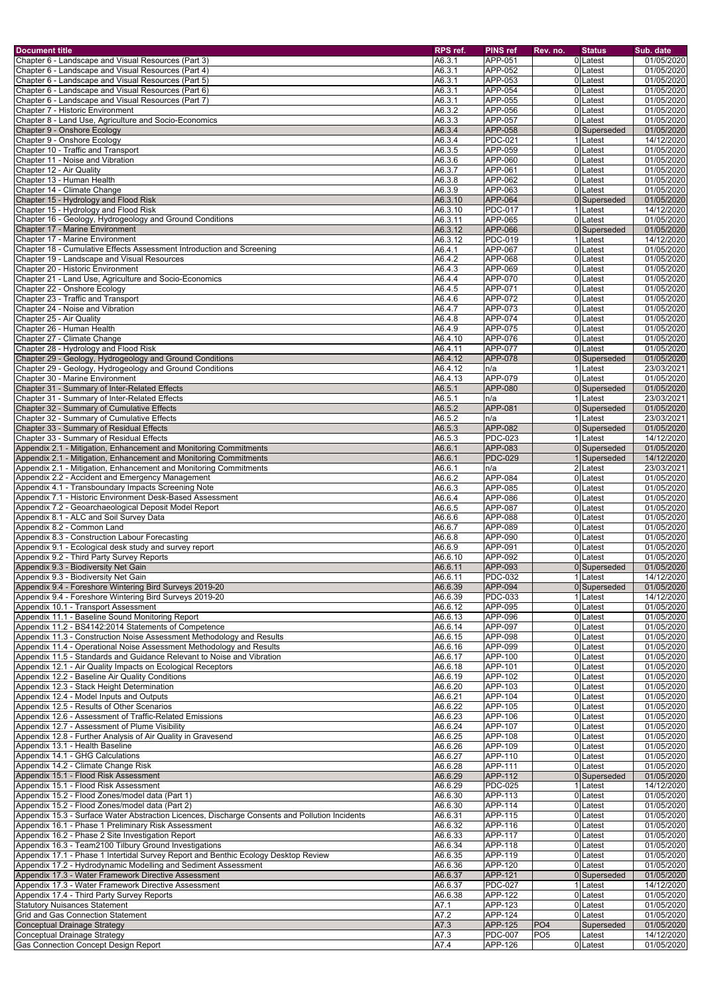| <b>Document title</b>                                                                                                                          | RPS ref.            | <b>PINS ref</b>                  | Rev. no.        | <b>Status</b>            | Sub. date                |
|------------------------------------------------------------------------------------------------------------------------------------------------|---------------------|----------------------------------|-----------------|--------------------------|--------------------------|
| Chapter 6 - Landscape and Visual Resources (Part 3)                                                                                            | A6.3.1              | APP-051                          |                 | 0Latest                  | 01/05/2020               |
| Chapter 6 - Landscape and Visual Resources (Part 4)                                                                                            | $\overline{A6.3.1}$ | <b>APP-052</b>                   |                 | 0 Latest                 | 01/05/2020               |
| Chapter 6 - Landscape and Visual Resources (Part 5)                                                                                            | A6.3.1              | APP-053                          |                 | 0 Latest                 | 01/05/2020               |
| Chapter 6 - Landscape and Visual Resources (Part 6)                                                                                            | A6.3.1              | APP-054                          |                 | 0 Latest                 | 01/05/2020               |
| Chapter 6 - Landscape and Visual Resources (Part 7)                                                                                            | A6.3.1              | APP-055                          |                 | 0 Latest                 | 01/05/2020               |
| Chapter 7 - Historic Environment                                                                                                               | A6.3.2              | APP-056                          |                 | 0Latest                  | 01/05/2020               |
| Chapter 8 - Land Use, Agriculture and Socio-Economics                                                                                          | A6.3.3<br>A6.3.4    | <b>APP-057</b><br><b>APP-058</b> |                 | 0 Latest<br>0 Superseded | 01/05/2020               |
| Chapter 9 - Onshore Ecology<br>Chapter 9 - Onshore Ecology                                                                                     | A6.3.4              | <b>PDC-021</b>                   |                 | Latest                   | 01/05/2020<br>14/12/2020 |
| Chapter 10 - Traffic and Transport                                                                                                             | A6.3.5              | APP-059                          |                 | 0 Latest                 | 01/05/2020               |
| Chapter 11 - Noise and Vibration                                                                                                               | A6.3.6              | APP-060                          |                 | 0Latest                  | 01/05/2020               |
| Chapter 12 - Air Quality                                                                                                                       | A6.3.7              | <b>APP-061</b>                   |                 | 0Latest                  | 01/05/2020               |
| Chapter 13 - Human Health                                                                                                                      | A6.3.8              | <b>APP-062</b>                   |                 | 0Latest                  | 01/05/2020               |
| Chapter 14 - Climate Change                                                                                                                    | A6.3.9              | APP-063                          |                 | 0Latest                  | 01/05/2020               |
| Chapter 15 - Hydrology and Flood Risk                                                                                                          | A6.3.10             | <b>APP-064</b>                   |                 | 0 Superseded             | 01/05/2020               |
| Chapter 15 - Hydrology and Flood Risk                                                                                                          | A6.3.10             | <b>PDC-017</b>                   |                 | 1Latest                  | 14/12/2020               |
| Chapter 16 - Geology, Hydrogeology and Ground Conditions                                                                                       | A6.3.11             | APP-065                          |                 | 0 Latest                 | 01/05/2020               |
| Chapter 17 - Marine Environment                                                                                                                | A6.3.12             | <b>APP-066</b>                   |                 | 0 Superseded             | 01/05/2020               |
| Chapter 17 - Marine Environment                                                                                                                | A6.3.12             | <b>PDC-019</b>                   |                 | 1 Latest                 | 14/12/2020               |
| Chapter 18 - Cumulative Effects Assessment Introduction and Screening<br>Chapter 19 - Landscape and Visual Resources                           | A6.4.1<br>A6.4.2    | <b>APP-067</b><br><b>APP-068</b> |                 | 0 Latest<br>0 Latest     | 01/05/2020<br>01/05/2020 |
| Chapter 20 - Historic Environment                                                                                                              | A6.4.3              | APP-069                          |                 | 0 Latest                 | 01/05/2020               |
| Chapter 21 - Land Use, Agriculture and Socio-Economics                                                                                         | A6.4.4              | <b>APP-070</b>                   |                 | 0Latest                  | 01/05/2020               |
| Chapter 22 - Onshore Ecology                                                                                                                   | A6.4.5              | <b>APP-071</b>                   |                 | 0 Latest                 | 01/05/2020               |
| Chapter 23 - Traffic and Transport                                                                                                             | A6.4.6              | <b>APP-072</b>                   |                 | 0 Latest                 | 01/05/2020               |
| Chapter 24 - Noise and Vibration                                                                                                               | A6.4.7              | <b>APP-073</b>                   |                 | 0 Latest                 | 01/05/2020               |
| Chapter 25 - Air Quality                                                                                                                       | A6.4.8              | APP-074                          |                 | 0Latest                  | 01/05/2020               |
| Chapter 26 - Human Health                                                                                                                      | A6.4.9              | APP-075                          |                 | 0 Latest                 | 01/05/2020               |
| Chapter 27 - Climate Change                                                                                                                    | A6.4.10             | APP-076                          |                 | 0 Latest                 | 01/05/2020               |
| Chapter 28 - Hydrology and Flood Risk                                                                                                          | A6.4.11             | <b>APP-077</b>                   |                 | 0Latest                  | 01/05/2020               |
| Chapter 29 - Geology, Hydrogeology and Ground Conditions                                                                                       | A6.4.12             | <b>APP-078</b>                   |                 | 0 Superseded             | 01/05/2020               |
| Chapter 29 - Geology, Hydrogeology and Ground Conditions                                                                                       | A6.4.12             | n/a                              |                 | 1Latest                  | 23/03/2021               |
| Chapter 30 - Marine Environment                                                                                                                | A6.4.13             | APP-079                          |                 | 0Latest                  | 01/05/2020               |
| Chapter 31 - Summary of Inter-Related Effects<br>Chapter 31 - Summary of Inter-Related Effects                                                 | A6.5.1<br>A6.5.1    | <b>APP-080</b><br>n/a            |                 | 0 Superseded<br>1Latest  | 01/05/2020<br>23/03/2021 |
| Chapter 32 - Summary of Cumulative Effects                                                                                                     | A6.5.2              | <b>APP-081</b>                   |                 | 0 Superseded             | 01/05/2020               |
| Chapter 32 - Summary of Cumulative Effects                                                                                                     | A6.5.2              | In/a                             |                 | 1Latest                  | 23/03/2021               |
| Chapter 33 - Summary of Residual Effects                                                                                                       | A6.5.3              | <b>APP-082</b>                   |                 | 0 Superseded             | 01/05/2020               |
| Chapter 33 - Summary of Residual Effects                                                                                                       | A6.5.3              | <b>PDC-023</b>                   |                 | 1Latest                  | 14/12/2020               |
| Appendix 2.1 - Mitigation, Enhancement and Monitoring Commitments                                                                              | A6.6.1              | APP-083                          |                 | 0 Superseded             | 01/05/2020               |
| Appendix 2.1 - Mitigation, Enhancement and Monitoring Commitments                                                                              | A6.6.1              | <b>PDC-029</b>                   |                 | Superseded               | 14/12/2020               |
| Appendix 2.1 - Mitigation, Enhancement and Monitoring Commitments                                                                              | A6.6.1              | n/a                              |                 | 2Latest                  | 23/03/2021               |
| Appendix 2.2 - Accident and Emergency Management                                                                                               | A6.6.2              | <b>APP-084</b>                   |                 | 0 Latest                 | 01/05/2020               |
| Appendix 4.1 - Transboundary Impacts Screening Note                                                                                            | A6.6.3              | APP-085                          |                 | 0 Latest                 | 01/05/2020               |
| Appendix 7.1 - Historic Environment Desk-Based Assessment                                                                                      | A6.6.4              | APP-086                          |                 | 0 Latest                 | 01/05/2020               |
| Appendix 7.2 - Geoarchaeological Deposit Model Report                                                                                          | A6.6.5              | APP-087                          |                 | 0 Latest                 | 01/05/2020               |
| Appendix 8.1 - ALC and Soil Survey Data<br>Appendix 8.2 - Common Land                                                                          | A6.6.6              | APP-088<br>APP-089               |                 | 0 Latest                 | 01/05/2020               |
| Appendix 8.3 - Construction Labour Forecasting                                                                                                 | A6.6.7<br>A6.6.8    | APP-090                          |                 | 0 Latest<br>0 Latest     | 01/05/2020<br>01/05/2020 |
| Appendix 9.1 - Ecological desk study and survey report                                                                                         | A6.6.9              | APP-091                          |                 | 0 Latest                 | 01/05/2020               |
| Appendix 9.2 - Third Party Survey Reports                                                                                                      | A6.6.10             | APP-092                          |                 | 0Latest                  | 01/05/2020               |
| Appendix 9.3 - Biodiversity Net Gain                                                                                                           | A6.6.11             | APP-093                          |                 | 0 Superseded             | 01/05/2020               |
| Appendix 9.3 - Biodiversity Net Gain                                                                                                           | A6.6.11             | $PDC-032$                        |                 | Latest                   | 14/12/2020               |
| Appendix 9.4 - Foreshore Wintering Bird Surveys 2019-20                                                                                        | A6.6.39             | APP-094                          |                 | 0 Superseded             | 01/05/2020               |
| Appendix 9.4 - Foreshore Wintering Bird Surveys 2019-20                                                                                        | A6.6.39             | <b>PDC-033</b>                   |                 | Latest                   | 14/12/2020               |
| Appendix 10.1 - Transport Assessment                                                                                                           | A6.6.12             | APP-095                          |                 | 0Latest                  | 01/05/2020               |
| Appendix 11.1 - Baseline Sound Monitoring Report                                                                                               | A6.6.13             | APP-096                          |                 | 0Latest                  | 01/05/2020               |
| Appendix 11.2 - BS4142:2014 Statements of Competence                                                                                           | A6.6.14             | APP-097                          |                 | 0Latest                  | 01/05/2020               |
| Appendix 11.3 - Construction Noise Assessment Methodology and Results                                                                          | A6.6.15             | APP-098                          |                 | 0Latest                  | 01/05/2020               |
| Appendix 11.4 - Operational Noise Assessment Methodology and Results<br>Appendix 11.5 - Standards and Guidance Relevant to Noise and Vibration | A6.6.16             | APP-099<br>APP-100               |                 | 0 Latest                 | 01/05/2020               |
| Appendix 12.1 - Air Quality Impacts on Ecological Receptors                                                                                    | A6.6.17<br>A6.6.18  | APP-101                          |                 | 0 Latest<br>0 Latest     | 01/05/2020<br>01/05/2020 |
| Appendix 12.2 - Baseline Air Quality Conditions                                                                                                | A6.6.19             | APP-102                          |                 | 0 Latest                 | 01/05/2020               |
| Appendix 12.3 - Stack Height Determination                                                                                                     | A6.6.20             | APP-103                          |                 | 0 Latest                 | 01/05/2020               |
| Appendix 12.4 - Model Inputs and Outputs                                                                                                       | A6.6.21             | APP-104                          |                 | 0 Latest                 | 01/05/2020               |
| Appendix 12.5 - Results of Other Scenarios                                                                                                     | A6.6.22             | APP-105                          |                 | 0 Latest                 | 01/05/2020               |
| Appendix 12.6 - Assessment of Traffic-Related Emissions                                                                                        | A6.6.23             | APP-106                          |                 | 0 Latest                 | 01/05/2020               |
| Appendix 12.7 - Assessment of Plume Visibility                                                                                                 | A6.6.24             | <b>APP-107</b>                   |                 | 0 Latest                 | 01/05/2020               |
| Appendix 12.8 - Further Analysis of Air Quality in Gravesend                                                                                   | A6.6.25             | APP-108                          |                 | 0 Latest                 | 01/05/2020               |
| Appendix 13.1 - Health Baseline                                                                                                                | A6.6.26             | APP-109                          |                 | 0 Latest                 | 01/05/2020               |
| Appendix 14.1 - GHG Calculations                                                                                                               | A6.6.27             | APP-110                          |                 | 0 Latest                 | 01/05/2020               |
| Appendix 14.2 - Climate Change Risk                                                                                                            | A6.6.28             | <b>APP-111</b>                   |                 | 0 Latest                 | 01/05/2020               |
| Appendix 15.1 - Flood Risk Assessment                                                                                                          | A6.6.29             | APP-112                          |                 | 0 Superseded             | 01/05/2020               |
| Appendix 15.1 - Flood Risk Assessment                                                                                                          | A6.6.29             | <b>PDC-025</b>                   |                 | 1 Latest                 | 14/12/2020               |
| Appendix 15.2 - Flood Zones/model data (Part 1)<br>Appendix 15.2 - Flood Zones/model data (Part 2)                                             | A6.6.30<br>A6.6.30  | APP-113<br>APP-114               |                 | 0 Latest<br>0 Latest     | 01/05/2020<br>01/05/2020 |
| Appendix 15.3 - Surface Water Abstraction Licences, Discharge Consents and Pollution Incidents                                                 | A6.6.31             | APP-115                          |                 | 0 Latest                 | 01/05/2020               |
| Appendix 16.1 - Phase 1 Preliminary Risk Assessment                                                                                            | A6.6.32             | APP-116                          |                 | 0 Latest                 | 01/05/2020               |
| Appendix 16.2 - Phase 2 Site Investigation Report                                                                                              | A6.6.33             | APP-117                          |                 | 0 Latest                 | 01/05/2020               |
| Appendix 16.3 - Team2100 Tilbury Ground Investigations                                                                                         | A6.6.34             | APP-118                          |                 | 0 Latest                 | 01/05/2020               |
| Appendix 17.1 - Phase 1 Intertidal Survey Report and Benthic Ecology Desktop Review                                                            | A6.6.35             | APP-119                          |                 | 0 Latest                 | 01/05/2020               |
| Appendix 17.2 - Hydrodynamic Modelling and Sediment Assessment                                                                                 | A6.6.36             | APP-120                          |                 | 0 Latest                 | 01/05/2020               |
| Appendix 17.3 - Water Framework Directive Assessment                                                                                           | A6.6.37             | APP-121                          |                 | 0 Superseded             | 01/05/2020               |
| Appendix 17.3 - Water Framework Directive Assessment                                                                                           | A6.6.37             | <b>PDC-027</b>                   |                 | 1 Latest                 | 14/12/2020               |
| Appendix 17.4 - Third Party Survey Reports                                                                                                     | A6.6.38             | APP-122                          |                 | 0 Latest                 | 01/05/2020               |
| <b>Statutory Nuisances Statement</b>                                                                                                           | A7.1                | <b>APP-123</b>                   |                 | 0Latest                  | 01/05/2020               |
| <b>Grid and Gas Connection Statement</b>                                                                                                       | A7.2                | APP-124                          |                 | 0 Latest                 | 01/05/2020               |
| Conceptual Drainage Strategy                                                                                                                   | A7.3                | <b>APP-125</b>                   | P <sub>O4</sub> | Superseded               | 01/05/2020               |
| Conceptual Drainage Strategy                                                                                                                   | A7.3                | <b>PDC-007</b><br>APP-126        | PO <sub>5</sub> | Latest                   | 14/12/2020               |
| Gas Connection Concept Design Report                                                                                                           | A7.4                |                                  |                 | 0 Latest                 | 01/05/2020               |